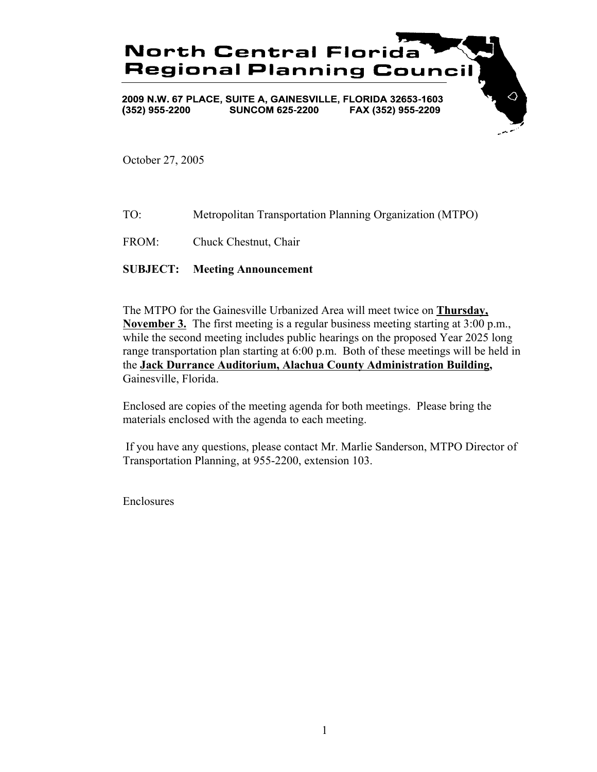

October 27, 2005

- TO: Metropolitan Transportation Planning Organization (MTPO)
- FROM: Chuck Chestnut, Chair

## **SUBJECT: Meeting Announcement**

The MTPO for the Gainesville Urbanized Area will meet twice on **Thursday, November 3.** The first meeting is a regular business meeting starting at 3:00 p.m., while the second meeting includes public hearings on the proposed Year 2025 long range transportation plan starting at 6:00 p.m. Both of these meetings will be held in the **Jack Durrance Auditorium, Alachua County Administration Building,** Gainesville, Florida.

Enclosed are copies of the meeting agenda for both meetings. Please bring the materials enclosed with the agenda to each meeting.

 If you have any questions, please contact Mr. Marlie Sanderson, MTPO Director of Transportation Planning, at 955-2200, extension 103.

Enclosures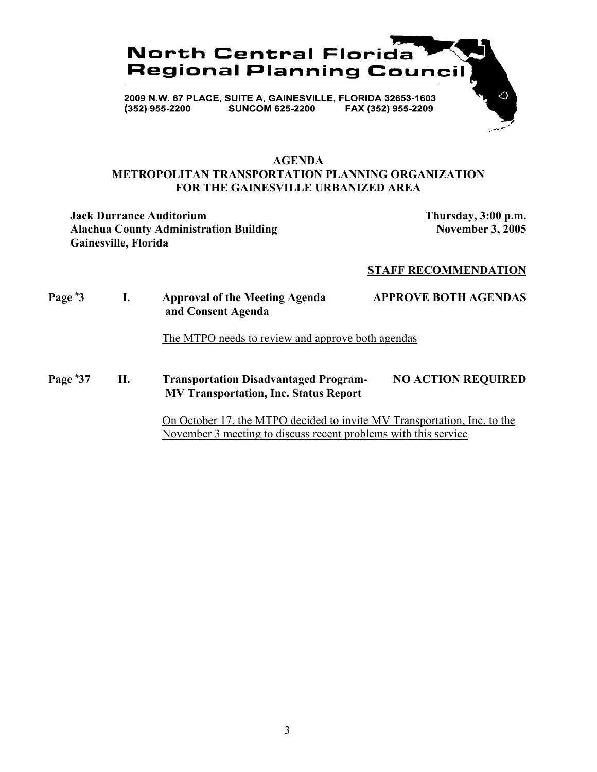

## **AGENDA METROPOLITAN TRANSPORTATION PLANNING ORGANIZATION FOR THE GAINESVILLE URBANIZED AREA**

**Jack Durrance Auditorium Thursday, 3:00 p.m.** Alachua County Administration Building November 3, 2005 **Gainesville, Florida**

#### **STAFF RECOMMENDATION**

# **Page # 3 I. Approval of the Meeting Agenda APPROVE BOTH AGENDAS and Consent Agenda** The MTPO needs to review and approve both agendas

**Page # 37 II. Transportation Disadvantaged Program- NO ACTION REQUIRED MV Transportation, Inc. Status Report**

> On October 17, the MTPO decided to invite MV Transportation, Inc. to the November 3 meeting to discuss recent problems with this service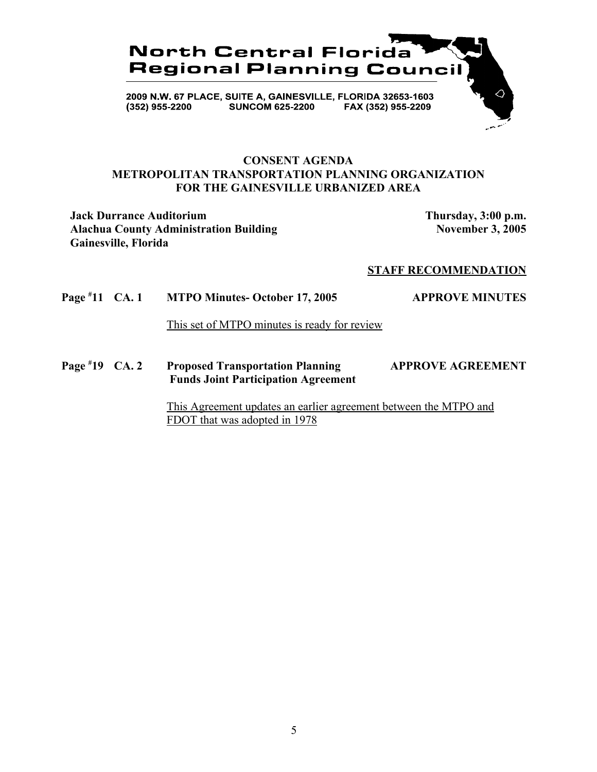

## **CONSENT AGENDA METROPOLITAN TRANSPORTATION PLANNING ORGANIZATION FOR THE GAINESVILLE URBANIZED AREA**

**Jack Durrance Auditorium Thursday, 3:00 p.m.** Alachua County Administration Building November 3, 2005 **Gainesville, Florida**

#### **STAFF RECOMMENDATION**

**Page # 11 MTPO Minutes- October 17, 2005 APPROVE MINUTES** 

This set of MTPO minutes is ready for review

**Page # 19 Proposed Transportation Planning APPROVE AGREEMENT Funds Joint Participation Agreement**

> This Agreement updates an earlier agreement between the MTPO and FDOT that was adopted in 1978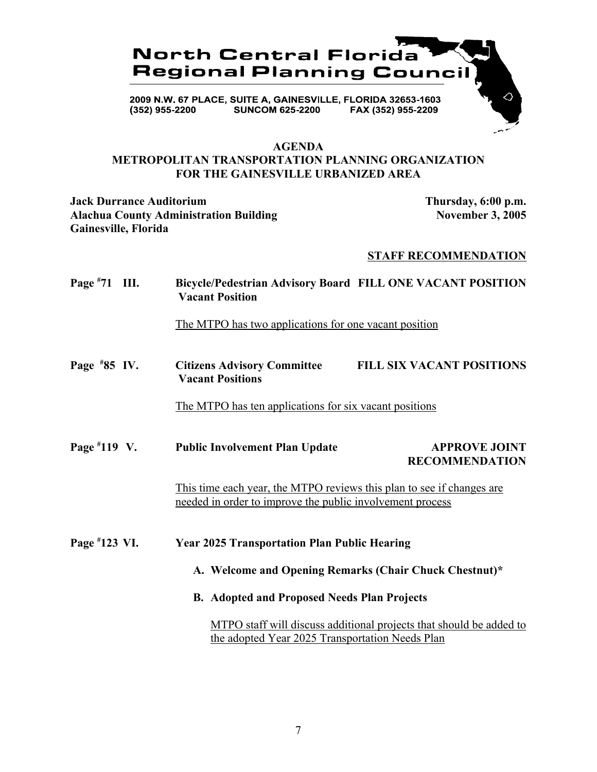

#### **AGENDA**

## **METROPOLITAN TRANSPORTATION PLANNING ORGANIZATION FOR THE GAINESVILLE URBANIZED AREA**

**Jack Durrance Auditorium Thursday, 6:00 p.m.** Alachua County Administration Building November 3, 2005 **Gainesville, Florida**

## **STAFF RECOMMENDATION**

**Page # 71 III. Bicycle/Pedestrian Advisory Board FILL ONE VACANT POSITION Vacant Position** The MTPO has two applications for one vacant position **Page # 85 IV. Citizens Advisory Committee FILL SIX VACANT POSITIONS Vacant Positions** The MTPO has ten applications for six vacant positions **Page #** Public Involvement Plan Update **APPROVE JOINT RECOMMENDATION** This time each year, the MTPO reviews this plan to see if changes are needed in order to improve the public involvement process **Page # 123 Year 2025 Transportation Plan Public Hearing A. Welcome and Opening Remarks (Chair Chuck Chestnut)\* B. Adopted and Proposed Needs Plan Projects** MTPO staff will discuss additional projects that should be added to the adopted Year 2025 Transportation Needs Plan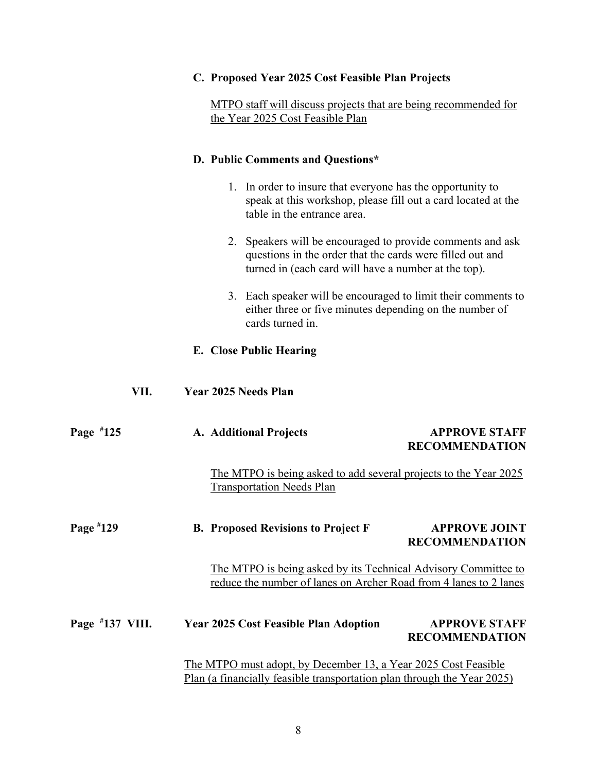|                   | C. Proposed Year 2025 Cost Feasible Plan Projects                                                                                                                               |  |  |  |
|-------------------|---------------------------------------------------------------------------------------------------------------------------------------------------------------------------------|--|--|--|
|                   | MTPO staff will discuss projects that are being recommended for<br>the Year 2025 Cost Feasible Plan                                                                             |  |  |  |
|                   | D. Public Comments and Questions*                                                                                                                                               |  |  |  |
|                   | 1. In order to insure that everyone has the opportunity to<br>speak at this workshop, please fill out a card located at the<br>table in the entrance area.                      |  |  |  |
|                   | 2. Speakers will be encouraged to provide comments and ask<br>questions in the order that the cards were filled out and<br>turned in (each card will have a number at the top). |  |  |  |
|                   | 3. Each speaker will be encouraged to limit their comments to<br>either three or five minutes depending on the number of<br>cards turned in.                                    |  |  |  |
|                   | E. Close Public Hearing                                                                                                                                                         |  |  |  |
| VII.              | <b>Year 2025 Needs Plan</b>                                                                                                                                                     |  |  |  |
| Page $*125$       | <b>APPROVE STAFF</b><br>A. Additional Projects<br><b>RECOMMENDATION</b>                                                                                                         |  |  |  |
|                   | The MTPO is being asked to add several projects to the Year 2025<br><b>Transportation Needs Plan</b>                                                                            |  |  |  |
| Page #129         | <b>B. Proposed Revisions to Project F</b><br><b>APPROVE JOINT</b><br><b>RECOMMENDATION</b>                                                                                      |  |  |  |
|                   | The MTPO is being asked by its Technical Advisory Committee to<br>reduce the number of lanes on Archer Road from 4 lanes to 2 lanes                                             |  |  |  |
| Page $*137$ VIII. | <b>APPROVE STAFF</b><br><b>Year 2025 Cost Feasible Plan Adoption</b><br><b>RECOMMENDATION</b>                                                                                   |  |  |  |
|                   | <u>The MTPO must adopt, by December 13, a Year 2025 Cost Feasible</u>                                                                                                           |  |  |  |

Plan (a financially feasible transportation plan through the Year 2025)